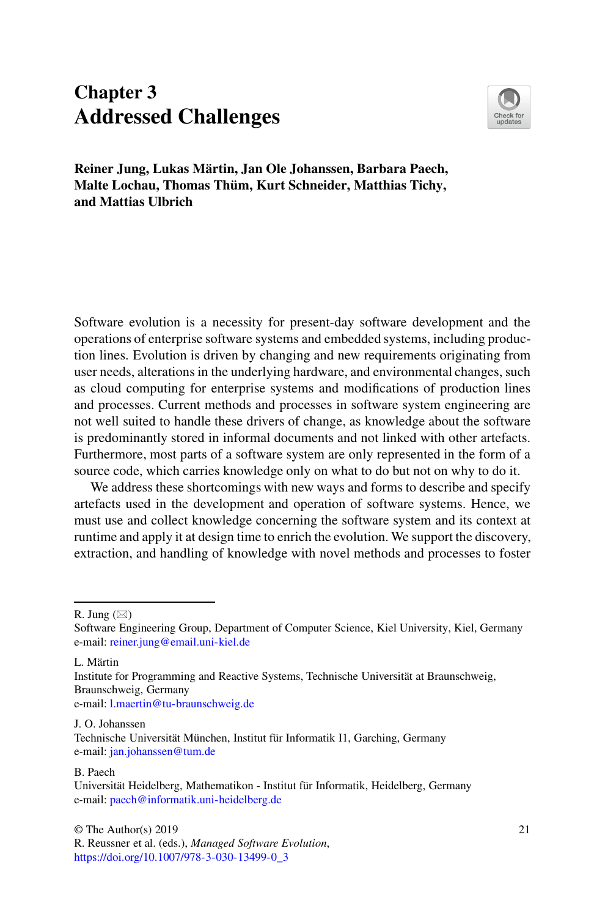# **Chapter 3 Addressed Challenges**



**Reiner Jung, Lukas Märtin, Jan Ole Johanssen, Barbara Paech, Malte Lochau, Thomas Thüm, Kurt Schneider, Matthias Tichy, and Mattias Ulbrich**

Software evolution is a necessity for present-day software development and the operations of enterprise software systems and embedded systems, including production lines. Evolution is driven by changing and new requirements originating from user needs, alterations in the underlying hardware, and environmental changes, such as cloud computing for enterprise systems and modifications of production lines and processes. Current methods and processes in software system engineering are not well suited to handle these drivers of change, as knowledge about the software is predominantly stored in informal documents and not linked with other artefacts. Furthermore, most parts of a software system are only represented in the form of a source code, which carries knowledge only on what to do but not on why to do it.

We address these shortcomings with new ways and forms to describe and specify artefacts used in the development and operation of software systems. Hence, we must use and collect knowledge concerning the software system and its context at runtime and apply it at design time to enrich the evolution. We support the discovery, extraction, and handling of knowledge with novel methods and processes to foster

L. Märtin

Institute for Programming and Reactive Systems, Technische Universität at Braunschweig, Braunschweig, Germany e-mail: [l.maertin@tu-braunschweig.de](mailto:l.maertin@tu-braunschweig.de)

J. O. Johanssen

B. Paech

R. Jung  $(\boxtimes)$ 

Software Engineering Group, Department of Computer Science, Kiel University, Kiel, Germany e-mail: [reiner.jung@email.uni-kiel.de](mailto:reiner.jung@email.uni-kiel.de)

Technische Universität München, Institut für Informatik I1, Garching, Germany e-mail: [jan.johanssen@tum.de](mailto:jan.johanssen@tum.de)

Universität Heidelberg, Mathematikon - Institut für Informatik, Heidelberg, Germany e-mail: [paech@informatik.uni-heidelberg.de](mailto:paech@informatik.uni-heidelberg.de)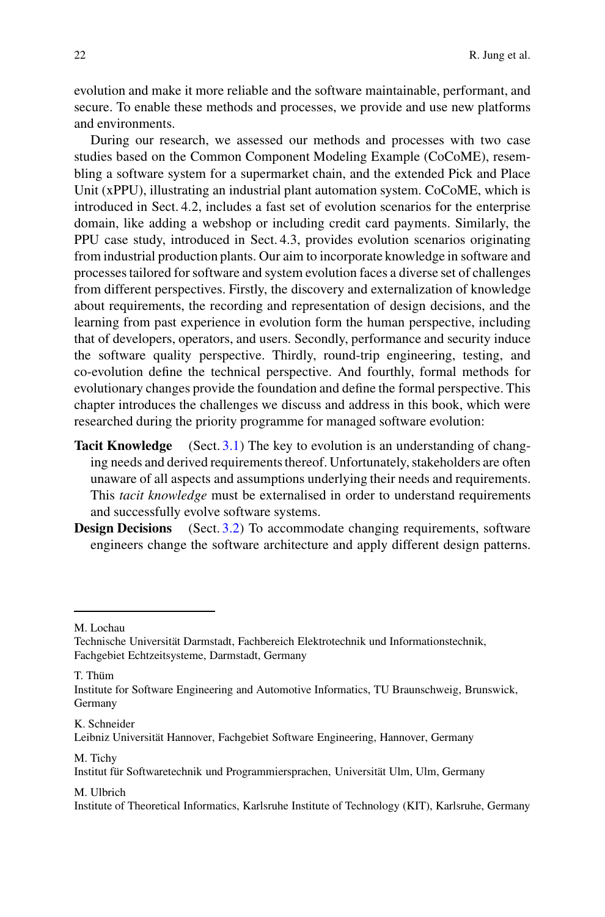evolution and make it more reliable and the software maintainable, performant, and secure. To enable these methods and processes, we provide and use new platforms and environments.

During our research, we assessed our methods and processes with two case studies based on the Common Component Modeling Example (CoCoME), resembling a software system for a supermarket chain, and the extended Pick and Place Unit (xPPU), illustrating an industrial plant automation system. CoCoME, which is introduced in Sect. 4.2, includes a fast set of evolution scenarios for the enterprise domain, like adding a webshop or including credit card payments. Similarly, the PPU case study, introduced in Sect. 4.3, provides evolution scenarios originating from industrial production plants. Our aim to incorporate knowledge in software and processes tailored for software and system evolution faces a diverse set of challenges from different perspectives. Firstly, the discovery and externalization of knowledge about requirements, the recording and representation of design decisions, and the learning from past experience in evolution form the human perspective, including that of developers, operators, and users. Secondly, performance and security induce the software quality perspective. Thirdly, round-trip engineering, testing, and co-evolution define the technical perspective. And fourthly, formal methods for evolutionary changes provide the foundation and define the formal perspective. This chapter introduces the challenges we discuss and address in this book, which were researched during the priority programme for managed software evolution:

- **Tacit Knowledge** (Sect. [3.1\)](#page-3-0) The key to evolution is an understanding of changing needs and derived requirements thereof. Unfortunately, stakeholders are often unaware of all aspects and assumptions underlying their needs and requirements. This *tacit knowledge* must be externalised in order to understand requirements and successfully evolve software systems.
- **Design Decisions** (Sect. [3.2\)](#page-5-0) To accommodate changing requirements, software engineers change the software architecture and apply different design patterns.

#### K. Schneider

#### M. Tichy

Institut für Softwaretechnik und Programmiersprachen, Universität Ulm, Ulm, Germany

#### M. Ulbrich

Institute of Theoretical Informatics, Karlsruhe Institute of Technology (KIT), Karlsruhe, Germany

M. Lochau

Technische Universität Darmstadt, Fachbereich Elektrotechnik und Informationstechnik, Fachgebiet Echtzeitsysteme, Darmstadt, Germany

T. Thüm

Institute for Software Engineering and Automotive Informatics, TU Braunschweig, Brunswick, Germany

Leibniz Universität Hannover, Fachgebiet Software Engineering, Hannover, Germany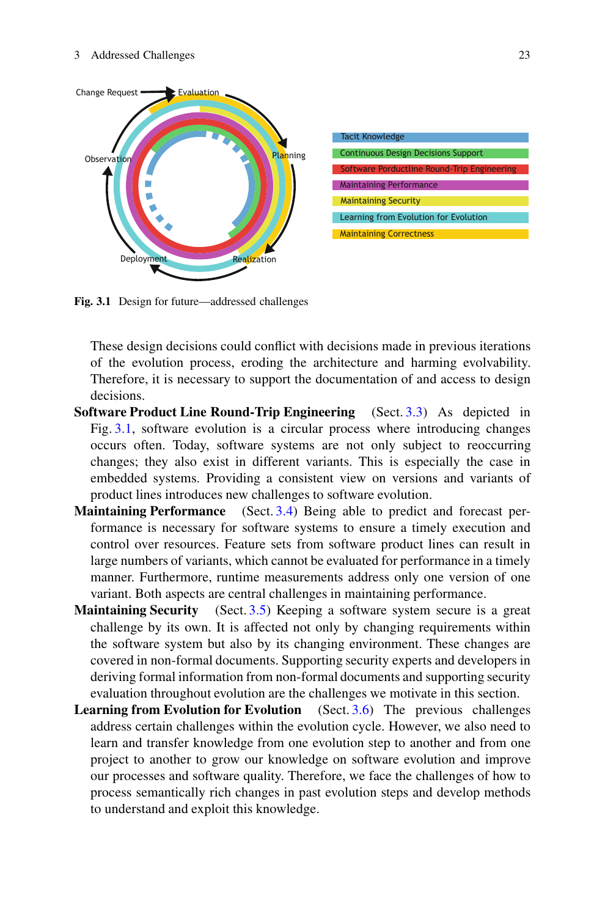<span id="page-2-0"></span>

**Fig. 3.1** Design for future—addressed challenges

These design decisions could conflict with decisions made in previous iterations of the evolution process, eroding the architecture and harming evolvability. Therefore, it is necessary to support the documentation of and access to design decisions.

- **Software Product Line Round-Trip Engineering** (Sect. [3.3\)](#page-6-0) As depicted in Fig. [3.1,](#page-2-0) software evolution is a circular process where introducing changes occurs often. Today, software systems are not only subject to reoccurring changes; they also exist in different variants. This is especially the case in embedded systems. Providing a consistent view on versions and variants of product lines introduces new challenges to software evolution.
- **Maintaining Performance** (Sect. [3.4\)](#page-8-0) Being able to predict and forecast performance is necessary for software systems to ensure a timely execution and control over resources. Feature sets from software product lines can result in large numbers of variants, which cannot be evaluated for performance in a timely manner. Furthermore, runtime measurements address only one version of one variant. Both aspects are central challenges in maintaining performance.
- **Maintaining Security** (Sect. [3.5\)](#page-9-0) Keeping a software system secure is a great challenge by its own. It is affected not only by changing requirements within the software system but also by its changing environment. These changes are covered in non-formal documents. Supporting security experts and developers in deriving formal information from non-formal documents and supporting security evaluation throughout evolution are the challenges we motivate in this section.
- **Learning from Evolution for Evolution** (Sect. [3.6\)](#page-11-0) The previous challenges address certain challenges within the evolution cycle. However, we also need to learn and transfer knowledge from one evolution step to another and from one project to another to grow our knowledge on software evolution and improve our processes and software quality. Therefore, we face the challenges of how to process semantically rich changes in past evolution steps and develop methods to understand and exploit this knowledge.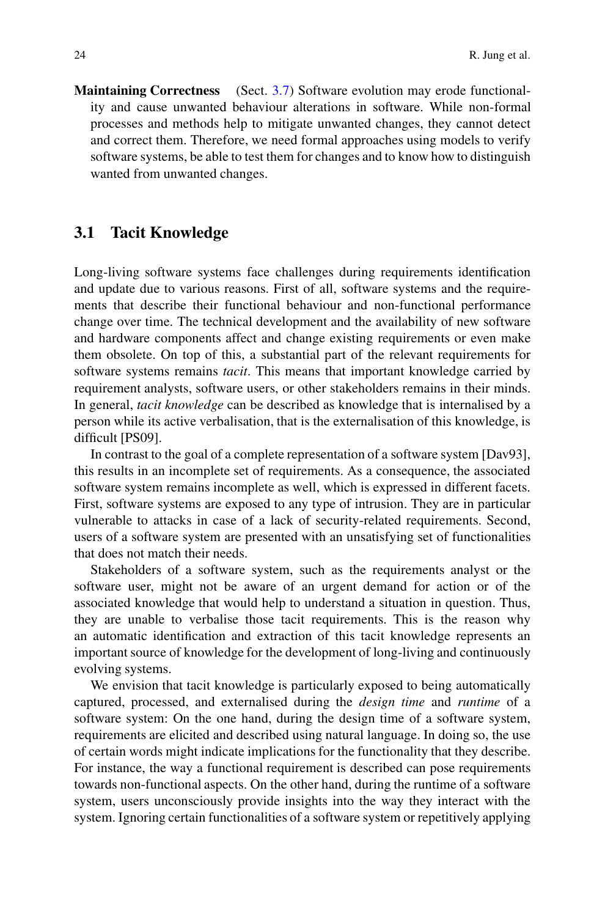**Maintaining Correctness** (Sect. [3.7\)](#page-13-0) Software evolution may erode functionality and cause unwanted behaviour alterations in software. While non-formal processes and methods help to mitigate unwanted changes, they cannot detect and correct them. Therefore, we need formal approaches using models to verify software systems, be able to test them for changes and to know how to distinguish wanted from unwanted changes.

# <span id="page-3-0"></span>**3.1 Tacit Knowledge**

Long-living software systems face challenges during requirements identification and update due to various reasons. First of all, software systems and the requirements that describe their functional behaviour and non-functional performance change over time. The technical development and the availability of new software and hardware components affect and change existing requirements or even make them obsolete. On top of this, a substantial part of the relevant requirements for software systems remains *tacit*. This means that important knowledge carried by requirement analysts, software users, or other stakeholders remains in their minds. In general, *tacit knowledge* can be described as knowledge that is internalised by a person while its active verbalisation, that is the externalisation of this knowledge, is difficult [PS09].

In contrast to the goal of a complete representation of a software system [Dav93], this results in an incomplete set of requirements. As a consequence, the associated software system remains incomplete as well, which is expressed in different facets. First, software systems are exposed to any type of intrusion. They are in particular vulnerable to attacks in case of a lack of security-related requirements. Second, users of a software system are presented with an unsatisfying set of functionalities that does not match their needs.

Stakeholders of a software system, such as the requirements analyst or the software user, might not be aware of an urgent demand for action or of the associated knowledge that would help to understand a situation in question. Thus, they are unable to verbalise those tacit requirements. This is the reason why an automatic identification and extraction of this tacit knowledge represents an important source of knowledge for the development of long-living and continuously evolving systems.

We envision that tacit knowledge is particularly exposed to being automatically captured, processed, and externalised during the *design time* and *runtime* of a software system: On the one hand, during the design time of a software system, requirements are elicited and described using natural language. In doing so, the use of certain words might indicate implications for the functionality that they describe. For instance, the way a functional requirement is described can pose requirements towards non-functional aspects. On the other hand, during the runtime of a software system, users unconsciously provide insights into the way they interact with the system. Ignoring certain functionalities of a software system or repetitively applying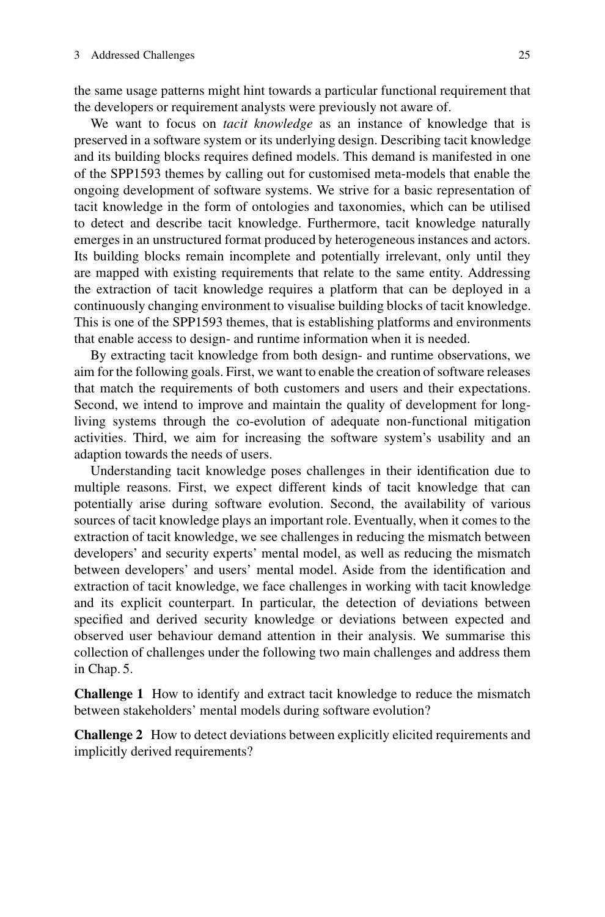the same usage patterns might hint towards a particular functional requirement that the developers or requirement analysts were previously not aware of.

We want to focus on *tacit knowledge* as an instance of knowledge that is preserved in a software system or its underlying design. Describing tacit knowledge and its building blocks requires defined models. This demand is manifested in one of the SPP1593 themes by calling out for customised meta-models that enable the ongoing development of software systems. We strive for a basic representation of tacit knowledge in the form of ontologies and taxonomies, which can be utilised to detect and describe tacit knowledge. Furthermore, tacit knowledge naturally emerges in an unstructured format produced by heterogeneous instances and actors. Its building blocks remain incomplete and potentially irrelevant, only until they are mapped with existing requirements that relate to the same entity. Addressing the extraction of tacit knowledge requires a platform that can be deployed in a continuously changing environment to visualise building blocks of tacit knowledge. This is one of the SPP1593 themes, that is establishing platforms and environments that enable access to design- and runtime information when it is needed.

By extracting tacit knowledge from both design- and runtime observations, we aim for the following goals. First, we want to enable the creation of software releases that match the requirements of both customers and users and their expectations. Second, we intend to improve and maintain the quality of development for longliving systems through the co-evolution of adequate non-functional mitigation activities. Third, we aim for increasing the software system's usability and an adaption towards the needs of users.

Understanding tacit knowledge poses challenges in their identification due to multiple reasons. First, we expect different kinds of tacit knowledge that can potentially arise during software evolution. Second, the availability of various sources of tacit knowledge plays an important role. Eventually, when it comes to the extraction of tacit knowledge, we see challenges in reducing the mismatch between developers' and security experts' mental model, as well as reducing the mismatch between developers' and users' mental model. Aside from the identification and extraction of tacit knowledge, we face challenges in working with tacit knowledge and its explicit counterpart. In particular, the detection of deviations between specified and derived security knowledge or deviations between expected and observed user behaviour demand attention in their analysis. We summarise this collection of challenges under the following two main challenges and address them in Chap. 5.

**Challenge 1** How to identify and extract tacit knowledge to reduce the mismatch between stakeholders' mental models during software evolution?

**Challenge 2** How to detect deviations between explicitly elicited requirements and implicitly derived requirements?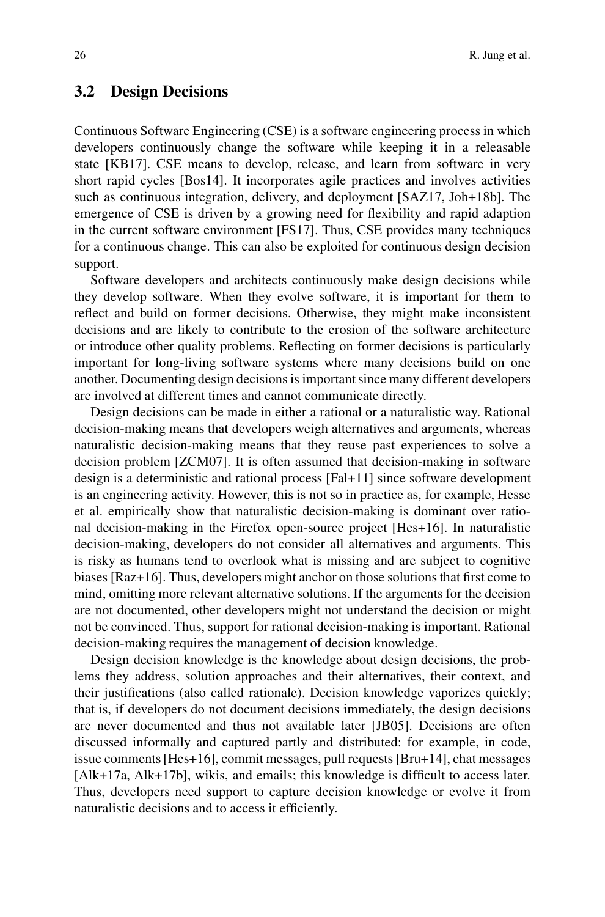### <span id="page-5-0"></span>**3.2 Design Decisions**

Continuous Software Engineering (CSE) is a software engineering process in which developers continuously change the software while keeping it in a releasable state [KB17]. CSE means to develop, release, and learn from software in very short rapid cycles [Bos14]. It incorporates agile practices and involves activities such as continuous integration, delivery, and deployment [SAZ17, Joh+18b]. The emergence of CSE is driven by a growing need for flexibility and rapid adaption in the current software environment [FS17]. Thus, CSE provides many techniques for a continuous change. This can also be exploited for continuous design decision support.

Software developers and architects continuously make design decisions while they develop software. When they evolve software, it is important for them to reflect and build on former decisions. Otherwise, they might make inconsistent decisions and are likely to contribute to the erosion of the software architecture or introduce other quality problems. Reflecting on former decisions is particularly important for long-living software systems where many decisions build on one another. Documenting design decisions is important since many different developers are involved at different times and cannot communicate directly.

Design decisions can be made in either a rational or a naturalistic way. Rational decision-making means that developers weigh alternatives and arguments, whereas naturalistic decision-making means that they reuse past experiences to solve a decision problem [ZCM07]. It is often assumed that decision-making in software design is a deterministic and rational process [Fal+11] since software development is an engineering activity. However, this is not so in practice as, for example, Hesse et al. empirically show that naturalistic decision-making is dominant over rational decision-making in the Firefox open-source project [Hes+16]. In naturalistic decision-making, developers do not consider all alternatives and arguments. This is risky as humans tend to overlook what is missing and are subject to cognitive biases [Raz+16]. Thus, developers might anchor on those solutions that first come to mind, omitting more relevant alternative solutions. If the arguments for the decision are not documented, other developers might not understand the decision or might not be convinced. Thus, support for rational decision-making is important. Rational decision-making requires the management of decision knowledge.

Design decision knowledge is the knowledge about design decisions, the problems they address, solution approaches and their alternatives, their context, and their justifications (also called rationale). Decision knowledge vaporizes quickly; that is, if developers do not document decisions immediately, the design decisions are never documented and thus not available later [JB05]. Decisions are often discussed informally and captured partly and distributed: for example, in code, issue comments [Hes+16], commit messages, pull requests [Bru+14], chat messages [Alk+17a, Alk+17b], wikis, and emails; this knowledge is difficult to access later. Thus, developers need support to capture decision knowledge or evolve it from naturalistic decisions and to access it efficiently.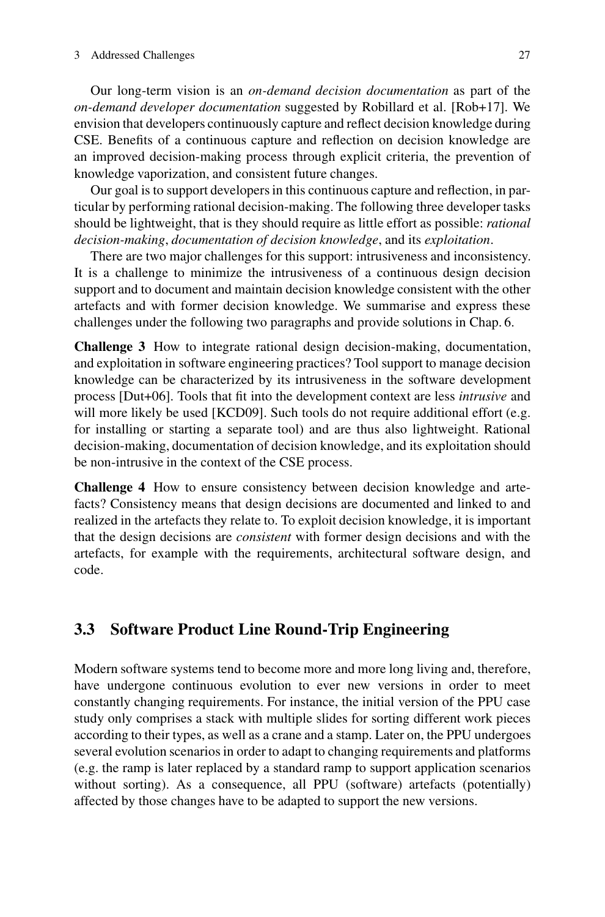#### 3 Addressed Challenges 27

Our long-term vision is an *on-demand decision documentation* as part of the *on-demand developer documentation* suggested by Robillard et al. [Rob+17]. We envision that developers continuously capture and reflect decision knowledge during CSE. Benefits of a continuous capture and reflection on decision knowledge are an improved decision-making process through explicit criteria, the prevention of knowledge vaporization, and consistent future changes.

Our goal is to support developers in this continuous capture and reflection, in particular by performing rational decision-making. The following three developer tasks should be lightweight, that is they should require as little effort as possible: *rational decision-making*, *documentation of decision knowledge*, and its *exploitation*.

There are two major challenges for this support: intrusiveness and inconsistency. It is a challenge to minimize the intrusiveness of a continuous design decision support and to document and maintain decision knowledge consistent with the other artefacts and with former decision knowledge. We summarise and express these challenges under the following two paragraphs and provide solutions in Chap. 6.

**Challenge 3** How to integrate rational design decision-making, documentation, and exploitation in software engineering practices? Tool support to manage decision knowledge can be characterized by its intrusiveness in the software development process [Dut+06]. Tools that fit into the development context are less *intrusive* and will more likely be used [KCD09]. Such tools do not require additional effort (e.g. for installing or starting a separate tool) and are thus also lightweight. Rational decision-making, documentation of decision knowledge, and its exploitation should be non-intrusive in the context of the CSE process.

**Challenge 4** How to ensure consistency between decision knowledge and artefacts? Consistency means that design decisions are documented and linked to and realized in the artefacts they relate to. To exploit decision knowledge, it is important that the design decisions are *consistent* with former design decisions and with the artefacts, for example with the requirements, architectural software design, and code.

### <span id="page-6-0"></span>**3.3 Software Product Line Round-Trip Engineering**

Modern software systems tend to become more and more long living and, therefore, have undergone continuous evolution to ever new versions in order to meet constantly changing requirements. For instance, the initial version of the PPU case study only comprises a stack with multiple slides for sorting different work pieces according to their types, as well as a crane and a stamp. Later on, the PPU undergoes several evolution scenarios in order to adapt to changing requirements and platforms (e.g. the ramp is later replaced by a standard ramp to support application scenarios without sorting). As a consequence, all PPU (software) artefacts (potentially) affected by those changes have to be adapted to support the new versions.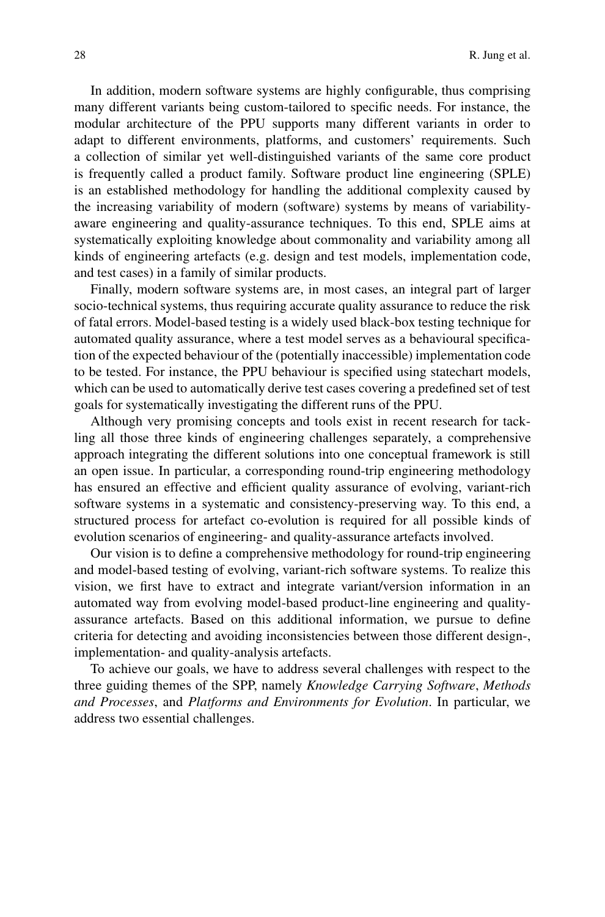In addition, modern software systems are highly configurable, thus comprising many different variants being custom-tailored to specific needs. For instance, the modular architecture of the PPU supports many different variants in order to adapt to different environments, platforms, and customers' requirements. Such a collection of similar yet well-distinguished variants of the same core product is frequently called a product family. Software product line engineering (SPLE) is an established methodology for handling the additional complexity caused by the increasing variability of modern (software) systems by means of variabilityaware engineering and quality-assurance techniques. To this end, SPLE aims at systematically exploiting knowledge about commonality and variability among all kinds of engineering artefacts (e.g. design and test models, implementation code, and test cases) in a family of similar products.

Finally, modern software systems are, in most cases, an integral part of larger socio-technical systems, thus requiring accurate quality assurance to reduce the risk of fatal errors. Model-based testing is a widely used black-box testing technique for automated quality assurance, where a test model serves as a behavioural specification of the expected behaviour of the (potentially inaccessible) implementation code to be tested. For instance, the PPU behaviour is specified using statechart models, which can be used to automatically derive test cases covering a predefined set of test goals for systematically investigating the different runs of the PPU.

Although very promising concepts and tools exist in recent research for tackling all those three kinds of engineering challenges separately, a comprehensive approach integrating the different solutions into one conceptual framework is still an open issue. In particular, a corresponding round-trip engineering methodology has ensured an effective and efficient quality assurance of evolving, variant-rich software systems in a systematic and consistency-preserving way. To this end, a structured process for artefact co-evolution is required for all possible kinds of evolution scenarios of engineering- and quality-assurance artefacts involved.

Our vision is to define a comprehensive methodology for round-trip engineering and model-based testing of evolving, variant-rich software systems. To realize this vision, we first have to extract and integrate variant/version information in an automated way from evolving model-based product-line engineering and qualityassurance artefacts. Based on this additional information, we pursue to define criteria for detecting and avoiding inconsistencies between those different design-, implementation- and quality-analysis artefacts.

To achieve our goals, we have to address several challenges with respect to the three guiding themes of the SPP, namely *Knowledge Carrying Software*, *Methods and Processes*, and *Platforms and Environments for Evolution*. In particular, we address two essential challenges.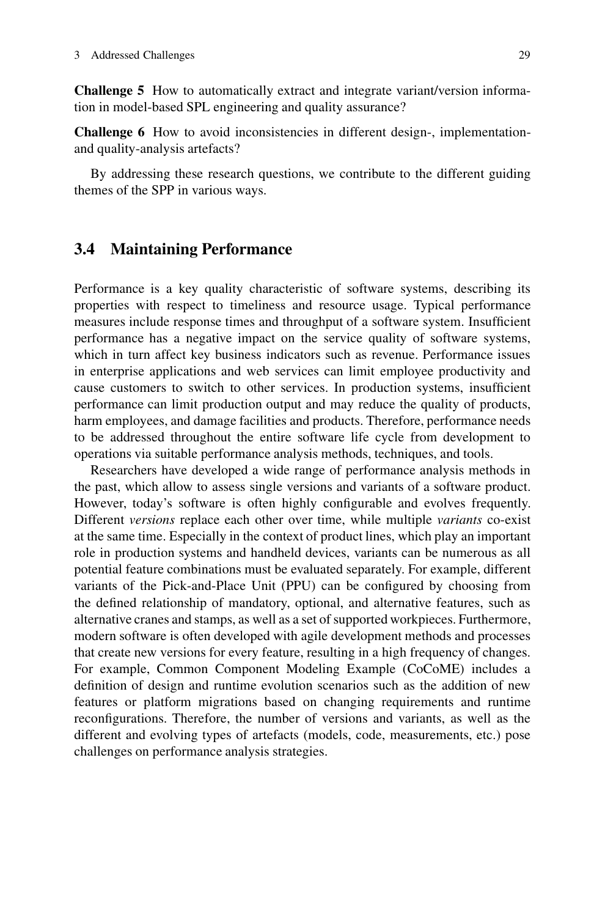**Challenge 5** How to automatically extract and integrate variant/version information in model-based SPL engineering and quality assurance?

**Challenge 6** How to avoid inconsistencies in different design-, implementationand quality-analysis artefacts?

By addressing these research questions, we contribute to the different guiding themes of the SPP in various ways.

#### <span id="page-8-0"></span>**3.4 Maintaining Performance**

Performance is a key quality characteristic of software systems, describing its properties with respect to timeliness and resource usage. Typical performance measures include response times and throughput of a software system. Insufficient performance has a negative impact on the service quality of software systems, which in turn affect key business indicators such as revenue. Performance issues in enterprise applications and web services can limit employee productivity and cause customers to switch to other services. In production systems, insufficient performance can limit production output and may reduce the quality of products, harm employees, and damage facilities and products. Therefore, performance needs to be addressed throughout the entire software life cycle from development to operations via suitable performance analysis methods, techniques, and tools.

Researchers have developed a wide range of performance analysis methods in the past, which allow to assess single versions and variants of a software product. However, today's software is often highly configurable and evolves frequently. Different *versions* replace each other over time, while multiple *variants* co-exist at the same time. Especially in the context of product lines, which play an important role in production systems and handheld devices, variants can be numerous as all potential feature combinations must be evaluated separately. For example, different variants of the Pick-and-Place Unit (PPU) can be configured by choosing from the defined relationship of mandatory, optional, and alternative features, such as alternative cranes and stamps, as well as a set of supported workpieces. Furthermore, modern software is often developed with agile development methods and processes that create new versions for every feature, resulting in a high frequency of changes. For example, Common Component Modeling Example (CoCoME) includes a definition of design and runtime evolution scenarios such as the addition of new features or platform migrations based on changing requirements and runtime reconfigurations. Therefore, the number of versions and variants, as well as the different and evolving types of artefacts (models, code, measurements, etc.) pose challenges on performance analysis strategies.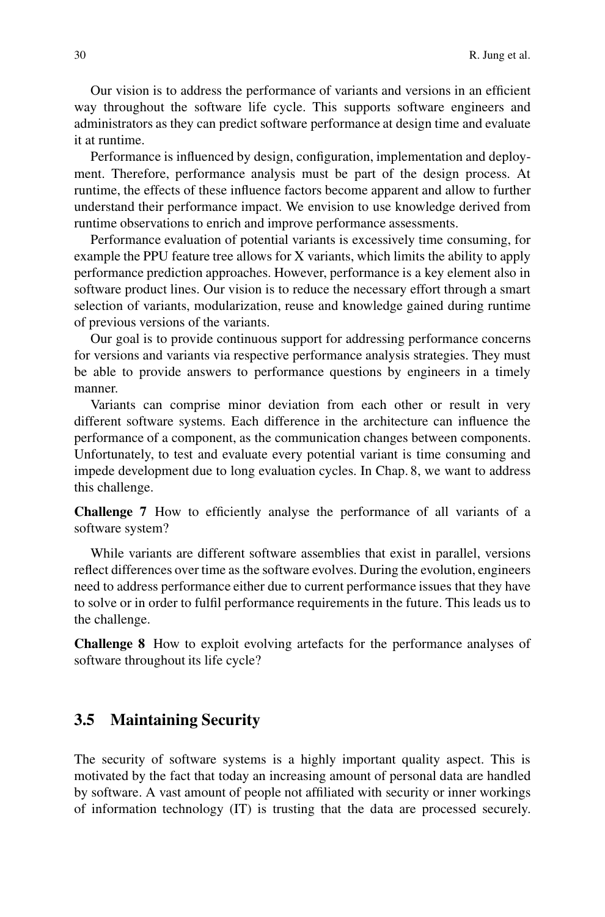Our vision is to address the performance of variants and versions in an efficient way throughout the software life cycle. This supports software engineers and administrators as they can predict software performance at design time and evaluate it at runtime.

Performance is influenced by design, configuration, implementation and deployment. Therefore, performance analysis must be part of the design process. At runtime, the effects of these influence factors become apparent and allow to further understand their performance impact. We envision to use knowledge derived from runtime observations to enrich and improve performance assessments.

Performance evaluation of potential variants is excessively time consuming, for example the PPU feature tree allows for X variants, which limits the ability to apply performance prediction approaches. However, performance is a key element also in software product lines. Our vision is to reduce the necessary effort through a smart selection of variants, modularization, reuse and knowledge gained during runtime of previous versions of the variants.

Our goal is to provide continuous support for addressing performance concerns for versions and variants via respective performance analysis strategies. They must be able to provide answers to performance questions by engineers in a timely manner.

Variants can comprise minor deviation from each other or result in very different software systems. Each difference in the architecture can influence the performance of a component, as the communication changes between components. Unfortunately, to test and evaluate every potential variant is time consuming and impede development due to long evaluation cycles. In Chap. 8, we want to address this challenge.

**Challenge 7** How to efficiently analyse the performance of all variants of a software system?

While variants are different software assemblies that exist in parallel, versions reflect differences over time as the software evolves. During the evolution, engineers need to address performance either due to current performance issues that they have to solve or in order to fulfil performance requirements in the future. This leads us to the challenge.

**Challenge 8** How to exploit evolving artefacts for the performance analyses of software throughout its life cycle?

# <span id="page-9-0"></span>**3.5 Maintaining Security**

The security of software systems is a highly important quality aspect. This is motivated by the fact that today an increasing amount of personal data are handled by software. A vast amount of people not affiliated with security or inner workings of information technology (IT) is trusting that the data are processed securely.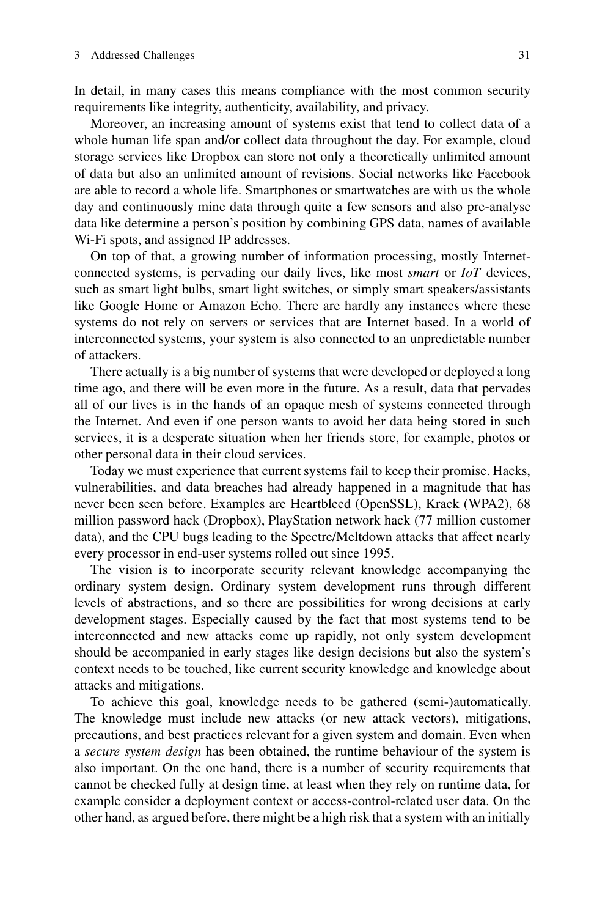In detail, in many cases this means compliance with the most common security requirements like integrity, authenticity, availability, and privacy.

Moreover, an increasing amount of systems exist that tend to collect data of a whole human life span and/or collect data throughout the day. For example, cloud storage services like Dropbox can store not only a theoretically unlimited amount of data but also an unlimited amount of revisions. Social networks like Facebook are able to record a whole life. Smartphones or smartwatches are with us the whole day and continuously mine data through quite a few sensors and also pre-analyse data like determine a person's position by combining GPS data, names of available Wi-Fi spots, and assigned IP addresses.

On top of that, a growing number of information processing, mostly Internetconnected systems, is pervading our daily lives, like most *smart* or *IoT* devices, such as smart light bulbs, smart light switches, or simply smart speakers/assistants like Google Home or Amazon Echo. There are hardly any instances where these systems do not rely on servers or services that are Internet based. In a world of interconnected systems, your system is also connected to an unpredictable number of attackers.

There actually is a big number of systems that were developed or deployed a long time ago, and there will be even more in the future. As a result, data that pervades all of our lives is in the hands of an opaque mesh of systems connected through the Internet. And even if one person wants to avoid her data being stored in such services, it is a desperate situation when her friends store, for example, photos or other personal data in their cloud services.

Today we must experience that current systems fail to keep their promise. Hacks, vulnerabilities, and data breaches had already happened in a magnitude that has never been seen before. Examples are Heartbleed (OpenSSL), Krack (WPA2), 68 million password hack (Dropbox), PlayStation network hack (77 million customer data), and the CPU bugs leading to the Spectre/Meltdown attacks that affect nearly every processor in end-user systems rolled out since 1995.

The vision is to incorporate security relevant knowledge accompanying the ordinary system design. Ordinary system development runs through different levels of abstractions, and so there are possibilities for wrong decisions at early development stages. Especially caused by the fact that most systems tend to be interconnected and new attacks come up rapidly, not only system development should be accompanied in early stages like design decisions but also the system's context needs to be touched, like current security knowledge and knowledge about attacks and mitigations.

To achieve this goal, knowledge needs to be gathered (semi-)automatically. The knowledge must include new attacks (or new attack vectors), mitigations, precautions, and best practices relevant for a given system and domain. Even when a *secure system design* has been obtained, the runtime behaviour of the system is also important. On the one hand, there is a number of security requirements that cannot be checked fully at design time, at least when they rely on runtime data, for example consider a deployment context or access-control-related user data. On the other hand, as argued before, there might be a high risk that a system with an initially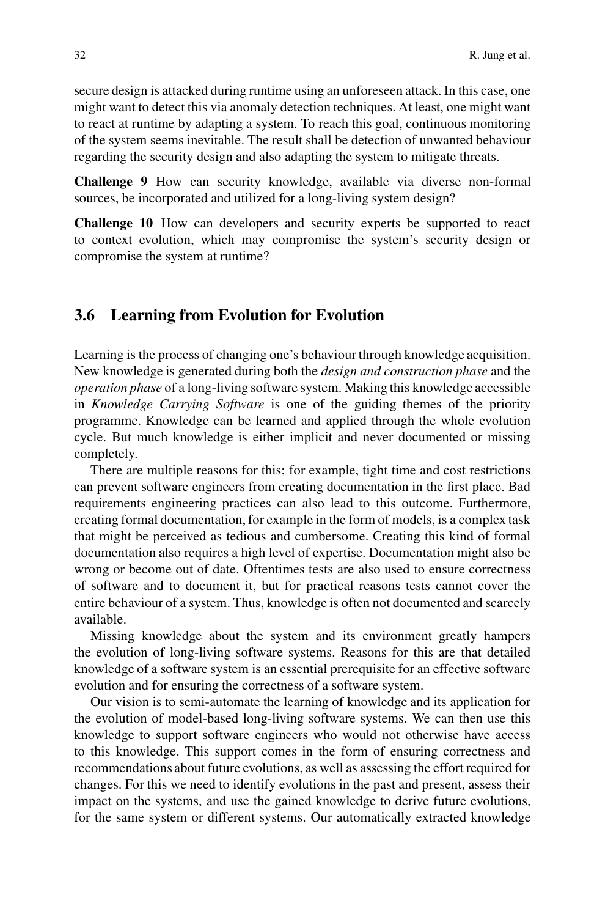secure design is attacked during runtime using an unforeseen attack. In this case, one might want to detect this via anomaly detection techniques. At least, one might want to react at runtime by adapting a system. To reach this goal, continuous monitoring of the system seems inevitable. The result shall be detection of unwanted behaviour regarding the security design and also adapting the system to mitigate threats.

**Challenge 9** How can security knowledge, available via diverse non-formal sources, be incorporated and utilized for a long-living system design?

**Challenge 10** How can developers and security experts be supported to react to context evolution, which may compromise the system's security design or compromise the system at runtime?

# <span id="page-11-0"></span>**3.6 Learning from Evolution for Evolution**

Learning is the process of changing one's behaviour through knowledge acquisition. New knowledge is generated during both the *design and construction phase* and the *operation phase* of a long-living software system. Making this knowledge accessible in *Knowledge Carrying Software* is one of the guiding themes of the priority programme. Knowledge can be learned and applied through the whole evolution cycle. But much knowledge is either implicit and never documented or missing completely.

There are multiple reasons for this; for example, tight time and cost restrictions can prevent software engineers from creating documentation in the first place. Bad requirements engineering practices can also lead to this outcome. Furthermore, creating formal documentation, for example in the form of models, is a complex task that might be perceived as tedious and cumbersome. Creating this kind of formal documentation also requires a high level of expertise. Documentation might also be wrong or become out of date. Oftentimes tests are also used to ensure correctness of software and to document it, but for practical reasons tests cannot cover the entire behaviour of a system. Thus, knowledge is often not documented and scarcely available.

Missing knowledge about the system and its environment greatly hampers the evolution of long-living software systems. Reasons for this are that detailed knowledge of a software system is an essential prerequisite for an effective software evolution and for ensuring the correctness of a software system.

Our vision is to semi-automate the learning of knowledge and its application for the evolution of model-based long-living software systems. We can then use this knowledge to support software engineers who would not otherwise have access to this knowledge. This support comes in the form of ensuring correctness and recommendations about future evolutions, as well as assessing the effort required for changes. For this we need to identify evolutions in the past and present, assess their impact on the systems, and use the gained knowledge to derive future evolutions, for the same system or different systems. Our automatically extracted knowledge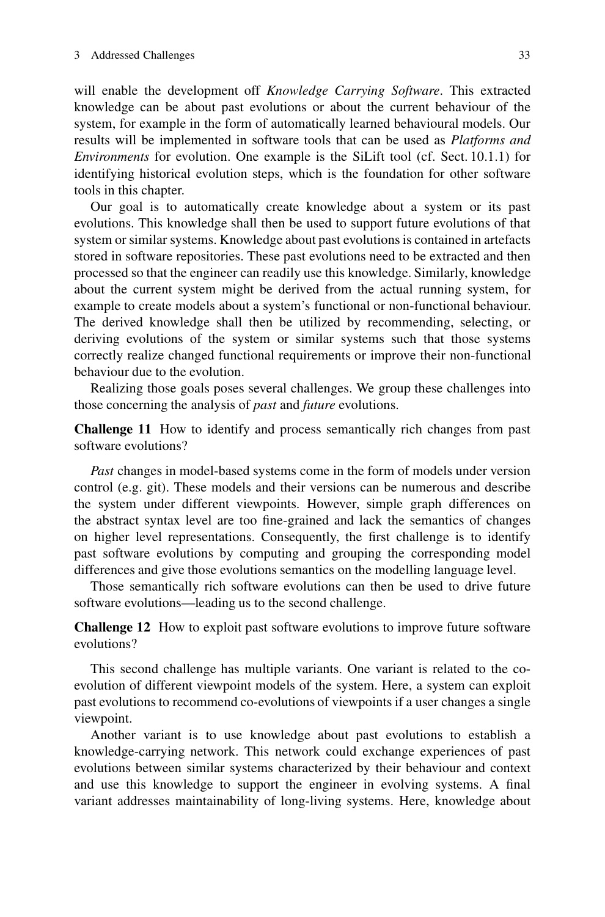will enable the development off *Knowledge Carrying Software*. This extracted knowledge can be about past evolutions or about the current behaviour of the system, for example in the form of automatically learned behavioural models. Our results will be implemented in software tools that can be used as *Platforms and Environments* for evolution. One example is the SiLift tool (cf. Sect. 10.1.1) for identifying historical evolution steps, which is the foundation for other software tools in this chapter.

Our goal is to automatically create knowledge about a system or its past evolutions. This knowledge shall then be used to support future evolutions of that system or similar systems. Knowledge about past evolutions is contained in artefacts stored in software repositories. These past evolutions need to be extracted and then processed so that the engineer can readily use this knowledge. Similarly, knowledge about the current system might be derived from the actual running system, for example to create models about a system's functional or non-functional behaviour. The derived knowledge shall then be utilized by recommending, selecting, or deriving evolutions of the system or similar systems such that those systems correctly realize changed functional requirements or improve their non-functional behaviour due to the evolution.

Realizing those goals poses several challenges. We group these challenges into those concerning the analysis of *past* and *future* evolutions.

**Challenge 11** How to identify and process semantically rich changes from past software evolutions?

*Past* changes in model-based systems come in the form of models under version control (e.g. git). These models and their versions can be numerous and describe the system under different viewpoints. However, simple graph differences on the abstract syntax level are too fine-grained and lack the semantics of changes on higher level representations. Consequently, the first challenge is to identify past software evolutions by computing and grouping the corresponding model differences and give those evolutions semantics on the modelling language level.

Those semantically rich software evolutions can then be used to drive future software evolutions—leading us to the second challenge.

**Challenge 12** How to exploit past software evolutions to improve future software evolutions?

This second challenge has multiple variants. One variant is related to the coevolution of different viewpoint models of the system. Here, a system can exploit past evolutions to recommend co-evolutions of viewpoints if a user changes a single viewpoint.

Another variant is to use knowledge about past evolutions to establish a knowledge-carrying network. This network could exchange experiences of past evolutions between similar systems characterized by their behaviour and context and use this knowledge to support the engineer in evolving systems. A final variant addresses maintainability of long-living systems. Here, knowledge about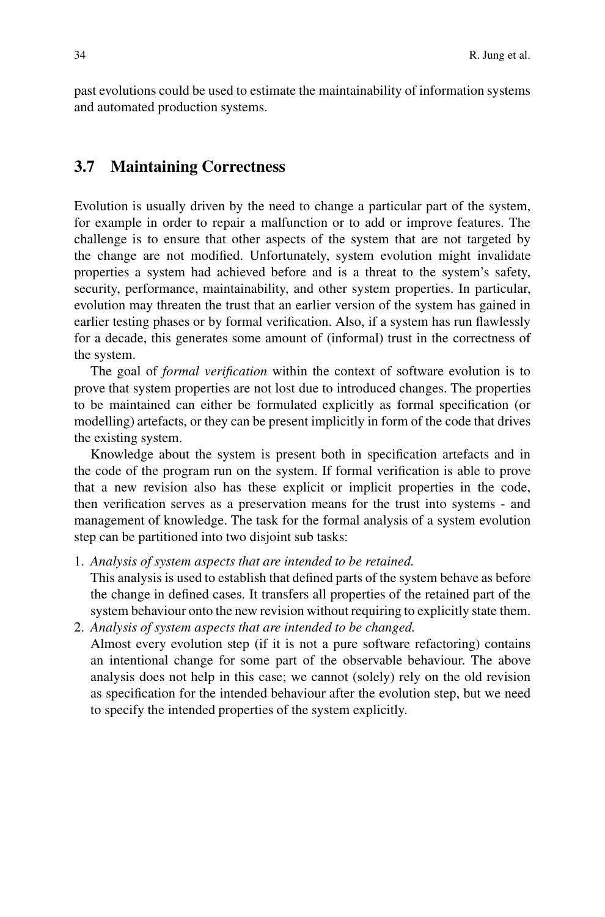past evolutions could be used to estimate the maintainability of information systems and automated production systems.

### <span id="page-13-0"></span>**3.7 Maintaining Correctness**

Evolution is usually driven by the need to change a particular part of the system, for example in order to repair a malfunction or to add or improve features. The challenge is to ensure that other aspects of the system that are not targeted by the change are not modified. Unfortunately, system evolution might invalidate properties a system had achieved before and is a threat to the system's safety, security, performance, maintainability, and other system properties. In particular, evolution may threaten the trust that an earlier version of the system has gained in earlier testing phases or by formal verification. Also, if a system has run flawlessly for a decade, this generates some amount of (informal) trust in the correctness of the system.

The goal of *formal verification* within the context of software evolution is to prove that system properties are not lost due to introduced changes. The properties to be maintained can either be formulated explicitly as formal specification (or modelling) artefacts, or they can be present implicitly in form of the code that drives the existing system.

Knowledge about the system is present both in specification artefacts and in the code of the program run on the system. If formal verification is able to prove that a new revision also has these explicit or implicit properties in the code, then verification serves as a preservation means for the trust into systems - and management of knowledge. The task for the formal analysis of a system evolution step can be partitioned into two disjoint sub tasks:

1. *Analysis of system aspects that are intended to be retained.*

This analysis is used to establish that defined parts of the system behave as before the change in defined cases. It transfers all properties of the retained part of the system behaviour onto the new revision without requiring to explicitly state them. 2. *Analysis of system aspects that are intended to be changed.*

Almost every evolution step (if it is not a pure software refactoring) contains an intentional change for some part of the observable behaviour. The above analysis does not help in this case; we cannot (solely) rely on the old revision as specification for the intended behaviour after the evolution step, but we need to specify the intended properties of the system explicitly.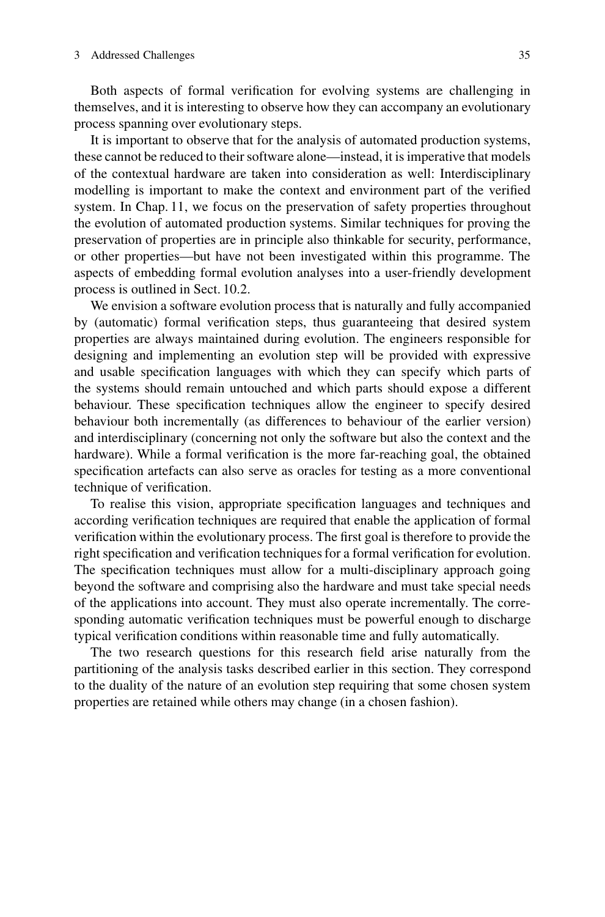#### 3 Addressed Challenges 35

Both aspects of formal verification for evolving systems are challenging in themselves, and it is interesting to observe how they can accompany an evolutionary process spanning over evolutionary steps.

It is important to observe that for the analysis of automated production systems, these cannot be reduced to their software alone—instead, it is imperative that models of the contextual hardware are taken into consideration as well: Interdisciplinary modelling is important to make the context and environment part of the verified system. In Chap. 11, we focus on the preservation of safety properties throughout the evolution of automated production systems. Similar techniques for proving the preservation of properties are in principle also thinkable for security, performance, or other properties—but have not been investigated within this programme. The aspects of embedding formal evolution analyses into a user-friendly development process is outlined in Sect. 10.2.

We envision a software evolution process that is naturally and fully accompanied by (automatic) formal verification steps, thus guaranteeing that desired system properties are always maintained during evolution. The engineers responsible for designing and implementing an evolution step will be provided with expressive and usable specification languages with which they can specify which parts of the systems should remain untouched and which parts should expose a different behaviour. These specification techniques allow the engineer to specify desired behaviour both incrementally (as differences to behaviour of the earlier version) and interdisciplinary (concerning not only the software but also the context and the hardware). While a formal verification is the more far-reaching goal, the obtained specification artefacts can also serve as oracles for testing as a more conventional technique of verification.

To realise this vision, appropriate specification languages and techniques and according verification techniques are required that enable the application of formal verification within the evolutionary process. The first goal is therefore to provide the right specification and verification techniques for a formal verification for evolution. The specification techniques must allow for a multi-disciplinary approach going beyond the software and comprising also the hardware and must take special needs of the applications into account. They must also operate incrementally. The corresponding automatic verification techniques must be powerful enough to discharge typical verification conditions within reasonable time and fully automatically.

The two research questions for this research field arise naturally from the partitioning of the analysis tasks described earlier in this section. They correspond to the duality of the nature of an evolution step requiring that some chosen system properties are retained while others may change (in a chosen fashion).